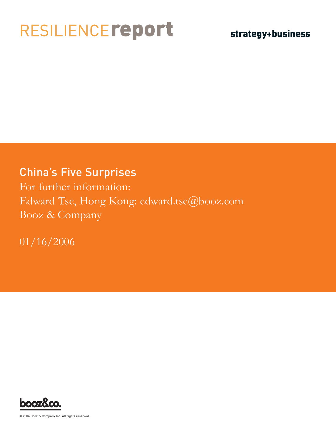# RESILIENCEreport

### strategy+business

## China's Five Surprises

For further information: Edward Tse, Hong Kong: edward.tse@booz.com Booz & Company

01/16/2006



© 2006 Booz & Company Inc. All rights reserved.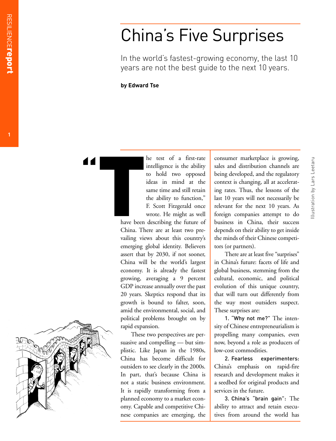## China's Five Surprises

In the world's fastest-growing economy, the last 10 years are not the best guide to the next 10 years.

**by Edward Tse**

he test of a first-rate intelligence is the ability to hold two opposed ideas in mind at the same time and still retain the ability to function," F. Scott Fitzgerald once wrote. He might as well

have been describing the future of China. There are at least two prevailing views about this country's emerging global identity. Believers assert that by 2030, if not sooner, China will be the world's largest economy. It is already the fastest growing, averaging a 9 percent GDP increase annually over the past 20 years. Skeptics respond that its growth is bound to falter, soon, amid the environmental, social, and political problems brought on by rapid expansion. **Tana Control**<br>Thave been<br>Thina. Th

> These two perspectives are persuasive and compelling — but simplistic. Like Japan in the 1980s, China has become difficult for outsiders to see clearly in the 2000s. In part, that's because China is not a static business environment. It is rapidly transforming from a planned economy to a market economy. Capable and competitive Chinese companies are emerging, the

consumer marketplace is growing, sales and distribution channels are being developed, and the regulatory context is changing, all at accelerating rates. Thus, the lessons of the last 10 years will not necessarily be relevant for the next 10 years. As foreign companies attempt to do business in China, their success depends on their ability to get inside the minds of their Chinese competitors (or partners).

There are at least five "surprises" in China's future: facets of life and global business, stemming from the cultural, economic, and political evolution of this unique country, that will turn out differently from the way most outsiders suspect. These surprises are:

1. "Why not me?" The intensity of Chinese entrepreneurialism is propelling many companies, even now, beyond a role as producers of low-cost commodities.

2. Fearless experimenters: China's emphasis on rapid-fire research and development makes it a seedbed for original products and services in the future.

3. China's "brain gain": The ability to attract and retain executives from around the world has



**"**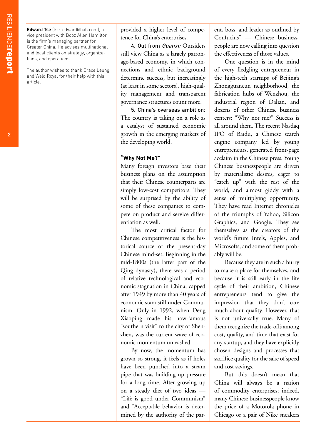**Edward Tse** (tse\_edward@bah.com), a vice president with Booz Allen Hamilton, is the firm's managing partner for Greater China. He advises multinational and local clients on strategy, organizations, and operations.

The author wishes to thank Grace Leung and Weld Royal for their help with this article.

provided a higher level of competence for China's enterprises.

4. Out from Guanxi: Outsiders still view China as a largely patronage-based economy, in which connections and ethnic background determine success, but increasingly (at least in some sectors), high-quality management and transparent governance structures count more.

5. China's overseas ambition: The country is taking on a role as a catalyst of sustained economic growth in the emerging markets of the developing world.

#### **"Why Not Me?"**

Many foreign investors base their business plans on the assumption that their Chinese counterparts are simply low-cost competitors. They will be surprised by the ability of some of these companies to compete on product and service differentiation as well.

The most critical factor for Chinese competitiveness is the historical source of the present-day Chinese mind-set. Beginning in the mid-1800s (the latter part of the Qing dynasty), there was a period of relative technological and economic stagnation in China, capped after 1949 by more than 40 years of economic standstill under Communism. Only in 1992, when Deng Xiaoping made his now-famous "southern visit" to the city of Shenzhen, was the current wave of economic momentum unleashed.

By now, the momentum has grown so strong, it feels as if holes have been punched into a steam pipe that was building up pressure for a long time. After growing up on a steady diet of two ideas — "Life is good under Communism" and "Acceptable behavior is determined by the authority of the parent, boss, and leader as outlined by Confucius" — Chinese businesspeople are now calling into question the effectiveness of those values.

One question is in the mind of every fledgling entrepreneur in the high-tech startups of Beijing's Zhongguancun neighborhood, the fabrication hubs of Wenzhou, the industrial region of Dalian, and dozens of other Chinese business centers: "Why not me?" Success is all around them. The recent Nasdaq IPO of Baidu, a Chinese search engine company led by young entrepreneurs, generated front-page acclaim in the Chinese press. Young Chinese businesspeople are driven by materialistic desires, eager to "catch up" with the rest of the world, and almost giddy with a sense of multiplying opportunity. They have read Internet chronicles of the triumphs of Yahoo, Silicon Graphics, and Google. They see themselves as the creators of the world's future Intels, Apples, and Microsofts, and some of them probably will be.

Because they are in such a hurry to make a place for themselves, and because it is still early in the life cycle of their ambition, Chinese entrepreneurs tend to give the impression that they don't care much about quality. However, that is not universally true. Many of them recognize the trade-offs among cost, quality, and time that exist for any startup, and they have explicitly chosen designs and processes that sacrifice quality for the sake of speed and cost savings.

But this doesn't mean that China will always be a nation of commodity enterprises; indeed, many Chinese businesspeople know the price of a Motorola phone in Chicago or a pair of Nike sneakers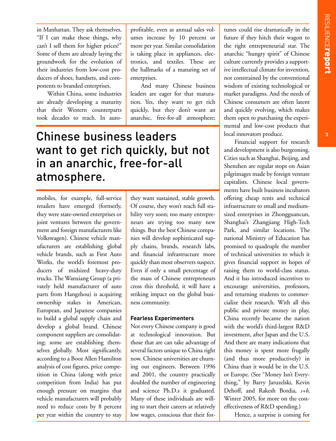in Manhattan. They ask themselves, "If I can make these things, why can't I sell them for higher prices?" Some of them are already laying the groundwork for the evolution of their industries from low-cost producers of shoes, handsets, and components to branded enterprises.

Within China, some industries are already developing a maturity that their Western counterparts took decades to reach. In auto-

profitable, even as annual sales volumes increase by 10 percent or more per year. Similar consolidation is taking place in appliances, electronics, and textiles. These are the hallmarks of a maturing set of enterprises.

And many Chinese business leaders are eager for that maturation. Yes, they want to get rich quickly, but they don't want an anarchic, free-for-all atmosphere;

## **Chinese business leaders Superior**  $\frac{1}{2}$  local innovators produce. want to get rich quickly, but not in an anarchic, free-for-all atmosphere.

mobiles, for example, full-service retailers have emerged (formerly, they were state-owned enterprises or joint ventures between the government and foreign manufacturers like Volkswagen). Chinese vehicle manufacturers are establishing global vehicle brands, such as First Auto Works, the world's foremost producers of midsized heavy-duty trucks. The Wanxiang Group (a privately held manufacturer of auto parts from Hangzhou) is acquiring ownership stakes in American, European, and Japanese companies to build a global supply chain and develop a global brand. Chinese component suppliers are consolidating; some are establishing themselves globally. Most significantly, according to a Booz Allen Hamilton analysis of cost figures, price competition in China (along with price competition from India) has put enough pressure on margins that vehicle manufacturers will probably need to reduce costs by 8 percent per year within the country to stay

they want sustained, stable growth. Of course, they won't reach full stability very soon; too many entrepreneurs are trying too many new things. But the best Chinese companies will develop sophisticated supply chains, brands, research labs, and financial infrastructure more quickly than most observers suspect. Even if only a small percentage of the mass of Chinese entrepreneurs cross this threshold, it will have a striking impact on the global business community.

#### **Fearless Experimenters**

Not every Chinese company is good at technological innovation. But those that are can take advantage of several factors unique to China right now. Chinese universities are churning out engineers. Between 1996 and 2001, the country practically doubled the number of engineering and science Ph.D.s it graduated. Many of these individuals are willing to start their careers at relatively low wages, conscious that their fortunes could rise dramatically in the future if they hitch their wagon to the right entrepreneurial star. The anarchic "hungry spirit" of Chinese culture currently provides a supportive intellectual climate for invention, not constrained by the conventional wisdom of existing technological or market paradigms. And the needs of Chinese consumers are often latent and quickly evolving, which makes them open to purchasing the experimental and low-cost products that local innovators produce.

Financial support for research and development is also burgeoning. Cities such as Shanghai, Beijing, and Shenzhen are regular stops on Asian pilgrimages made by foreign venture capitalists. Chinese local governments have built business incubators offering cheap rents and technical infrastructure to small and mediumsized enterprises in Zhongguancun, Shanghai's Zhangjiang High-Tech Park, and similar locations. The national Ministry of Education has promised to quadruple the number of technical universities to which it gives financial support in hopes of raising them to world-class status. And it has introduced incentives to encourage universities, professors, and returning students to commercialize their research. With all this public and private money in play, China recently became the nation with the world's third-largest R&D investment, after Japan and the U.S. And there are many indications that this money is spent more frugally (and thus more productively) in China than it would be in the U.S. or Europe. (See "Money Isn't Everything," by Barry Jaruzelski, Kevin Dehoff, and Rakesh Bordia, *s+b,* Winter 2005, for more on the costeffectiveness of R&D spending.)

Hence, a surprise is coming for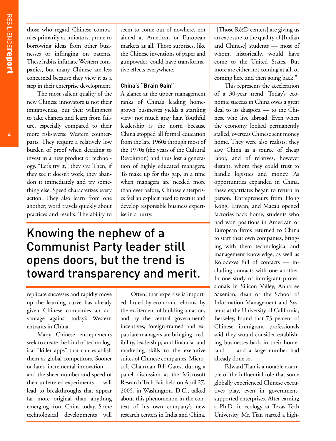those who regard Chinese companies primarily as imitators, prone to borrowing ideas from other businesses or infringing on patents. These habits infuriate Western companies, but many Chinese are less concerned because they view it as a step in their enterprise development.

The most salient quality of the new Chinese innovators is not their imitativeness, but their willingness to take chances and learn from failure, especially compared to their more risk-averse Western counterparts. They require a relatively low burden of proof when deciding to invest in a new product or technology. "Let's try it," they say. Then, if they see it doesn't work, they abandon it immediately and try something else. Speed characterizes every action. They also learn from one another; word travels quickly about practices and results. The ability to

seem to come out of nowhere, not aimed at American or European markets at all. Those surprises, like the Chinese inventions of paper and gunpowder, could have transformative effects everywhere.

#### **China's "Brain Gain"**

A glance at the upper management ranks of China's leading homegrown businesses yields a startling view: not much gray hair. Youthful leadership is the norm because China stopped all formal education from the late 1960s through most of the 1970s (the years of the Cultural Revolution) and thus lost a generation of highly educated managers. To make up for this gap, in a time when managers are needed more than ever before, Chinese enterprises feel an explicit need to recruit and develop responsible business expertise in a hurry.

## Knowing the nephew of a Communist Party leader still opens doors, but the trend is toward transparency and merit.

replicate successes and rapidly move up the learning curve has already given Chinese companies an advantage against today's Western entrants in China.

Many Chinese entrepreneurs seek to create the kind of technological "killer apps" that can establish them as global competitors. Sooner or later, incremental innovation and the sheer number and speed of their unfettered experiments — will lead to breakthroughs that appear far more original than anything emerging from China today. Some technological developments will

Often, that expertise is imported. Lured by economic reforms, by the excitement of building a nation, and by the central government's incentives, foreign-trained and expatriate managers are bringing credibility, leadership, and financial and marketing skills to the executive suites of Chinese companies. Microsoft Chairman Bill Gates, during a panel discussion at the Microsoft Research Tech Fair held on April 27, 2005, in Washington, D.C., talked about this phenomenon in the context of his own company's new research centers in India and China.

"[Those R&D centers] are giving us an exposure to the quality of [Indian and Chinese] students — most of whom, historically, would have come to the United States. But more are either not coming at all, or coming here and then going back."

This represents the acceleration of a 30-year trend. Today's economic success in China owes a great deal to its diaspora — to the Chinese who live abroad. Even when the economy looked permanently stalled, overseas Chinese sent money home. They were also realists; they saw China as a source of cheap labor, and of relatives, however distant, whom they could trust to handle logistics and money. As opportunities expanded in China, these expatriates began to return in person. Entrepreneurs from Hong Kong, Taiwan, and Macau opened factories back home; students who had won positions in American or European firms returned to China to start their own companies, bringing with them technological and management knowledge, as well as Rolodexes full of contacts — including contacts with one another. In one study of immigrant professionals in Silicon Valley, AnnaLee Saxenian, dean of the School of Information Management and Systems at the University of California, Berkeley, found that 73 percent of Chinese immigrant professionals said they would consider establishing businesses back in their homeland — and a large number had already done so.

Edward Tian is a notable example of the influential role that some globally experienced Chinese executives play, even in governmentsupported enterprises. After earning a Ph.D. in ecology at Texas Tech University, Mr. Tian started a high-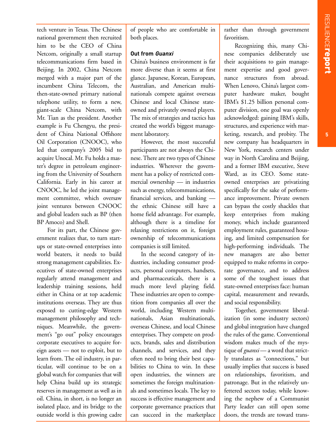**5**

tech venture in Texas. The Chinese national government then recruited him to be the CEO of China Netcom, originally a small startup telecommunications firm based in Beijing. In 2002, China Netcom merged with a major part of the incumbent China Telecom, the then-state-owned primary national telephone utility, to form a new, giant-scale China Netcom, with Mr. Tian as the president. Another example is Fu Chengyu, the president of China National Offshore Oil Corporation (CNOOC), who led that company's 2005 bid to acquire Unocal. Mr. Fu holds a master's degree in petroleum engineering from the University of Southern California. Early in his career at CNOOC, he led the joint management committee, which oversaw joint ventures between CNOOC and global leaders such as BP (then BP Amoco) and Shell.

For its part, the Chinese government realizes that, to turn startups or state-owned enterprises into world beaters, it needs to build strong management capabilities. Executives of state-owned enterprises regularly attend management and leadership training sessions, held either in China or at top academic institutions overseas. They are thus exposed to cutting-edge Western management philosophy and techniques. Meanwhile, the government's "go out" policy encourages corporate executives to acquire foreign assets — not to exploit, but to learn from. The oil industry, in particular, will continue to be on a global watch for companies that will help China build up its strategic reserves in management as well as in oil. China, in short, is no longer an isolated place, and its bridge to the outside world is this growing cadre of people who are comfortable in both places.

#### **Out from Guanxi**

China's business environment is far more diverse than it seems at first glance. Japanese, Korean, European, Australian, and American multinationals compete against overseas Chinese and local Chinese stateowned and privately owned players. The mix of strategies and tactics has created the world's biggest management laboratory.

However, the most successful participants are not always the Chinese. There are two types of Chinese industries. Wherever the government has a policy of restricted commercial ownership — in industries such as energy, telecommunications, financial services, and banking the ethnic Chinese still have a home field advantage. For example, although there is a timeline for relaxing restrictions on it, foreign ownership of telecommunications companies is still limited.

In the second category of industries, including consumer products, personal computers, handsets, and pharmaceuticals, there is a much more level playing field. These industries are open to competition from companies all over the world, including Western multinationals, Asian multinationals, overseas Chinese, and local Chinese enterprises. They compete on products, brands, sales and distribution channels, and services, and they often need to bring their best capabilities to China to win. In these open industries, the winners are sometimes the foreign multinationals and sometimes locals. The key to success is effective management and corporate governance practices that can succeed in the marketplace

rather than through government favoritism.

Recognizing this, many Chinese companies deliberately use their acquisitions to gain management expertise and good governance structures from abroad. When Lenovo, China's largest computer hardware maker, bought IBM's \$1.25 billion personal computer division, one goal was openly acknowledged: gaining IBM's skills, structures, and experience with marketing, research, and probity. The new company has headquarters in New York, research centers under way in North Carolina and Beijing, and a former IBM executive, Steve Ward, as its CEO. Some stateowned enterprises are privatizing specifically for the sake of performance improvement. Private owners can bypass the costly shackles that keep enterprises from making money, which include guaranteed employment rules, guaranteed housing, and limited compensation for high-performing individuals. The new managers are also better equipped to make reforms in corporate governance, and to address some of the toughest issues that state-owned enterprises face: human capital, measurement and rewards, and social responsibility.

Together, government liberalization (in some industry sectors) and global integration have changed the rules of the game. Conventional wisdom makes much of the mystique of *guanxi* — a word that strictly translates as "connections," but usually implies that success is based on relationships, favoritism, and patronage. But in the relatively unfettered sectors today, while knowing the nephew of a Communist Party leader can still open some doors, the trends are toward trans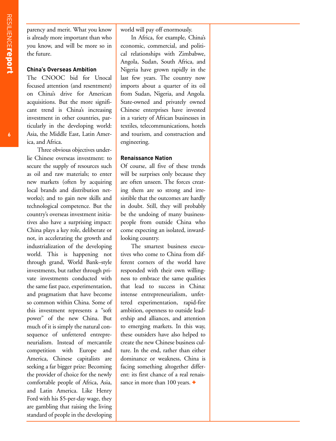parency and merit. What you know is already more important than who you know, and will be more so in the future.

#### **China's Overseas Ambition**

The CNOOC bid for Unocal focused attention (and resentment) on China's drive for American acquisitions. But the more significant trend is China's increasing investment in other countries, particularly in the developing world: Asia, the Middle East, Latin America, and Africa.

Three obvious objectives underlie Chinese overseas investment: to secure the supply of resources such as oil and raw materials; to enter new markets (often by acquiring local brands and distribution networks); and to gain new skills and technological competence. But the country's overseas investment initiatives also have a surprising impact: China plays a key role, deliberate or not, in accelerating the growth and industrialization of the developing world. This is happening not through grand, World Bank–style investments, but rather through private investments conducted with the same fast pace, experimentation, and pragmatism that have become so common within China. Some of this investment represents a "soft power" of the new China. But much of it is simply the natural consequence of unfettered entrepreneurialism. Instead of mercantile competition with Europe and America, Chinese capitalists are seeking a far bigger prize: Becoming the provider of choice for the newly comfortable people of Africa, Asia, and Latin America. Like Henry Ford with his \$5-per-day wage, they are gambling that raising the living standard of people in the developing

world will pay off enormously.

In Africa, for example, China's economic, commercial, and political relationships with Zimbabwe, Angola, Sudan, South Africa, and Nigeria have grown rapidly in the last few years. The country now imports about a quarter of its oil from Sudan, Nigeria, and Angola. State-owned and privately owned Chinese enterprises have invested in a variety of African businesses in textiles, telecommunications, hotels and tourism, and construction and engineering.

#### **Renaissance Nation**

Of course, all five of these trends will be surprises only because they are often unseen. The forces creating them are so strong and irresistible that the outcomes are hardly in doubt. Still, they will probably be the undoing of many businesspeople from outside China who come expecting an isolated, inwardlooking country.

The smartest business executives who come to China from different corners of the world have responded with their own willingness to embrace the same qualities that lead to success in China: intense entrepreneurialism, unfettered experimentation, rapid-fire ambition, openness to outside leadership and alliances, and attention to emerging markets. In this way, these outsiders have also helped to create the new Chinese business culture. In the end, rather than either dominance or weakness, China is facing something altogether different: its first chance of a real renaissance in more than 100 years. +